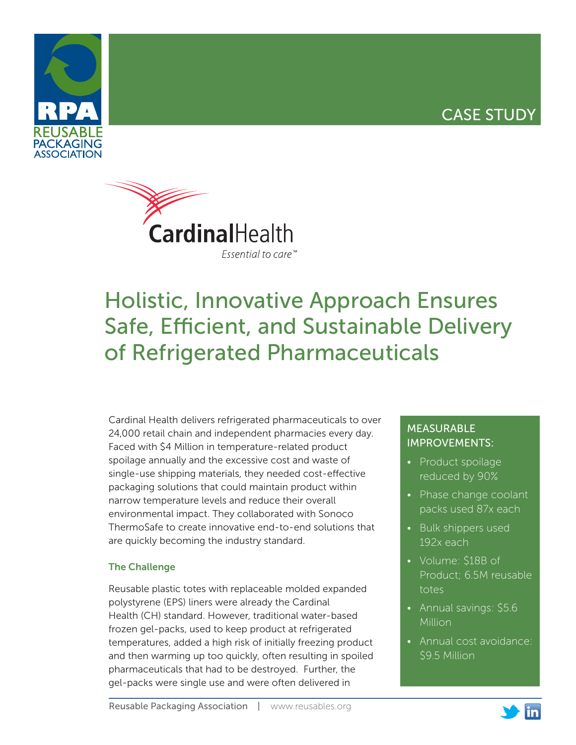## CASE STUDY





# Holistic, Innovative Approach Ensures Safe, Efficient, and Sustainable Delivery of Refrigerated Pharmaceuticals

Cardinal Health delivers refrigerated pharmaceuticals to over 24,000 retail chain and independent pharmacies every day. Faced with \$4 Million in temperature-related product spoilage annually and the excessive cost and waste of single-use shipping materials, they needed cost-effective packaging solutions that could maintain product within narrow temperature levels and reduce their overall environmental impact. They collaborated with Sonoco ThermoSafe to create innovative end-to-end solutions that are quickly becoming the industry standard.

#### The Challenge

Reusable plastic totes with replaceable molded expanded polystyrene (EPS) liners were already the Cardinal Health (CH) standard. However, traditional water-based frozen gel-packs, used to keep product at refrigerated temperatures, added a high risk of initially freezing product and then warming up too quickly, often resulting in spoiled pharmaceuticals that had to be destroyed. Further, the gel-packs were single use and were often delivered in

### MEASURABLE IMPROVEMENTS:

- Product spoilage reduced by 90%
- Phase change coolant packs used 87x each
- Bulk shippers used 192x each
- Volume: \$18B of Product; 6.5M reusable totes
- Annual savings: \$5.6 Million
- Annual cost avoidance: \$9.5 Million

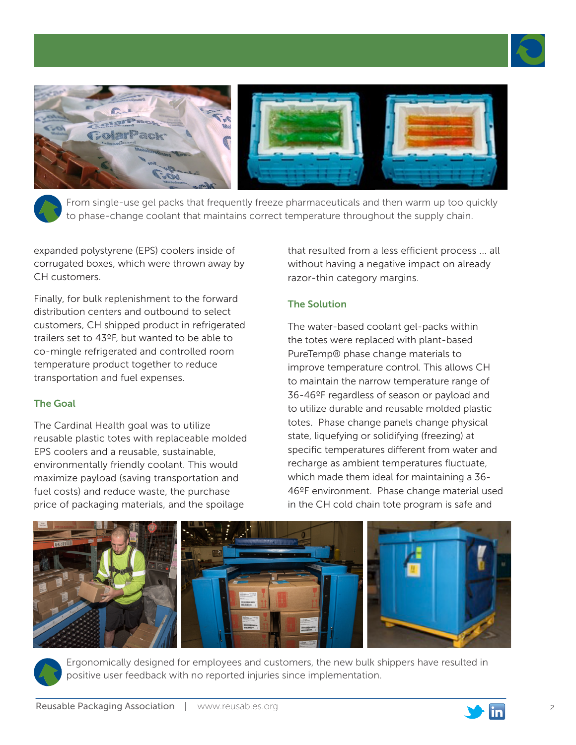



From single-use gel packs that frequently freeze pharmaceuticals and then warm up too quickly to phase-change coolant that maintains correct temperature throughout the supply chain.

expanded polystyrene (EPS) coolers inside of corrugated boxes, which were thrown away by CH customers.

Finally, for bulk replenishment to the forward distribution centers and outbound to select customers, CH shipped product in refrigerated trailers set to 43ºF, but wanted to be able to co-mingle refrigerated and controlled room temperature product together to reduce transportation and fuel expenses.

#### The Goal

The Cardinal Health goal was to utilize reusable plastic totes with replaceable molded EPS coolers and a reusable, sustainable, environmentally friendly coolant. This would maximize payload (saving transportation and fuel costs) and reduce waste, the purchase price of packaging materials, and the spoilage

that resulted from a less efficient process ... all without having a negative impact on already razor-thin category margins.

#### The Solution

The water-based coolant gel-packs within the totes were replaced with plant-based PureTemp® phase change materials to improve temperature control. This allows CH to maintain the narrow temperature range of 36-46ºF regardless of season or payload and to utilize durable and reusable molded plastic totes. Phase change panels change physical state, liquefying or solidifying (freezing) at specific temperatures different from water and recharge as ambient temperatures fluctuate, which made them ideal for maintaining a 36- 46ºF environment. Phase change material used in the CH cold chain tote program is safe and





Ergonomically designed for employees and customers, the new bulk shippers have resulted in positive user feedback with no reported injuries since implementation.

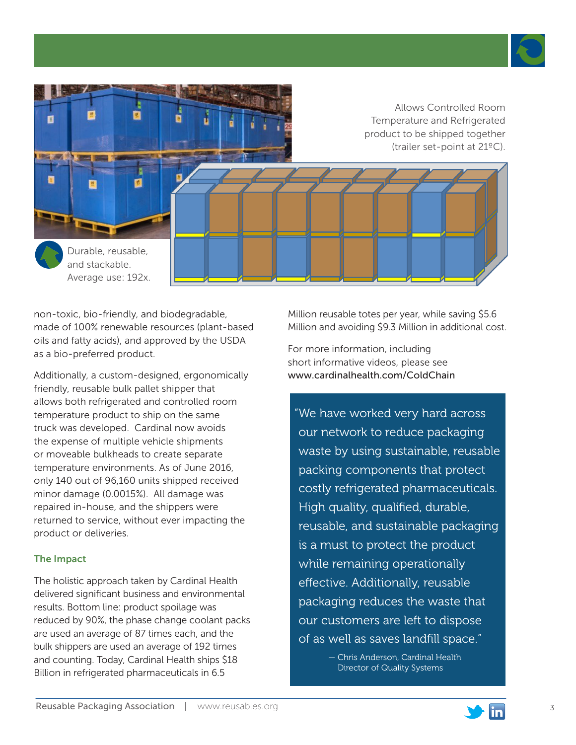



non-toxic, bio-friendly, and biodegradable, made of 100% renewable resources (plant-based oils and fatty acids), and approved by the USDA as a bio-preferred product.

Additionally, a custom-designed, ergonomically friendly, reusable bulk pallet shipper that allows both refrigerated and controlled room temperature product to ship on the same truck was developed. Cardinal now avoids the expense of multiple vehicle shipments or moveable bulkheads to create separate temperature environments. As of June 2016, only 140 out of 96,160 units shipped received minor damage (0.0015%). All damage was repaired in-house, and the shippers were returned to service, without ever impacting the product or deliveries.

#### The Impact

The holistic approach taken by Cardinal Health delivered significant business and environmental results. Bottom line: product spoilage was reduced by 90%, the phase change coolant packs are used an average of 87 times each, and the bulk shippers are used an average of 192 times and counting. Today, Cardinal Health ships \$18 Billion in refrigerated pharmaceuticals in 6.5

Million reusable totes per year, while saving \$5.6 Million and avoiding \$9.3 Million in additional cost.

For more information, including short informative videos, please see www.cardinalhealth.com/ColdChain

"We have worked very hard across our network to reduce packaging waste by using sustainable, reusable packing components that protect costly refrigerated pharmaceuticals. High quality, qualified, durable, reusable, and sustainable packaging is a must to protect the product while remaining operationally effective. Additionally, reusable packaging reduces the waste that our customers are left to dispose of as well as saves landfill space."

> — Chris Anderson, Cardinal Health Director of Quality Systems